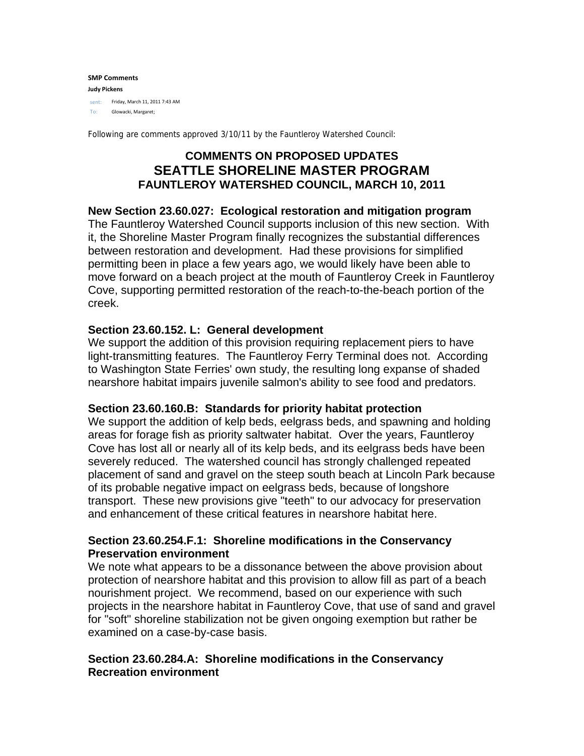#### **SMP Comments Judy Pickens** sent: Friday, March 11, 2011 7:43 AM To: Glowacki, Margaret;

Following are comments approved 3/10/11 by the Fauntleroy Watershed Council:

# **COMMENTS ON PROPOSED UPDATES SEATTLE SHORELINE MASTER PROGRAM FAUNTLEROY WATERSHED COUNCIL, MARCH 10, 2011**

# **New Section 23.60.027: Ecological restoration and mitigation program**

The Fauntleroy Watershed Council supports inclusion of this new section. With it, the Shoreline Master Program finally recognizes the substantial differences between restoration and development. Had these provisions for simplified permitting been in place a few years ago, we would likely have been able to move forward on a beach project at the mouth of Fauntleroy Creek in Fauntleroy Cove, supporting permitted restoration of the reach-to-the-beach portion of the creek.

# **Section 23.60.152. L: General development**

We support the addition of this provision requiring replacement piers to have light-transmitting features. The Fauntleroy Ferry Terminal does not. According to Washington State Ferries' own study, the resulting long expanse of shaded nearshore habitat impairs juvenile salmon's ability to see food and predators.

# **Section 23.60.160.B: Standards for priority habitat protection**

We support the addition of kelp beds, eelgrass beds, and spawning and holding areas for forage fish as priority saltwater habitat. Over the years, Fauntleroy Cove has lost all or nearly all of its kelp beds, and its eelgrass beds have been severely reduced. The watershed council has strongly challenged repeated placement of sand and gravel on the steep south beach at Lincoln Park because of its probable negative impact on eelgrass beds, because of longshore transport. These new provisions give "teeth" to our advocacy for preservation and enhancement of these critical features in nearshore habitat here.

# **Section 23.60.254.F.1: Shoreline modifications in the Conservancy Preservation environment**

We note what appears to be a dissonance between the above provision about protection of nearshore habitat and this provision to allow fill as part of a beach nourishment project. We recommend, based on our experience with such projects in the nearshore habitat in Fauntleroy Cove, that use of sand and gravel for "soft" shoreline stabilization not be given ongoing exemption but rather be examined on a case-by-case basis.

# **Section 23.60.284.A: Shoreline modifications in the Conservancy Recreation environment**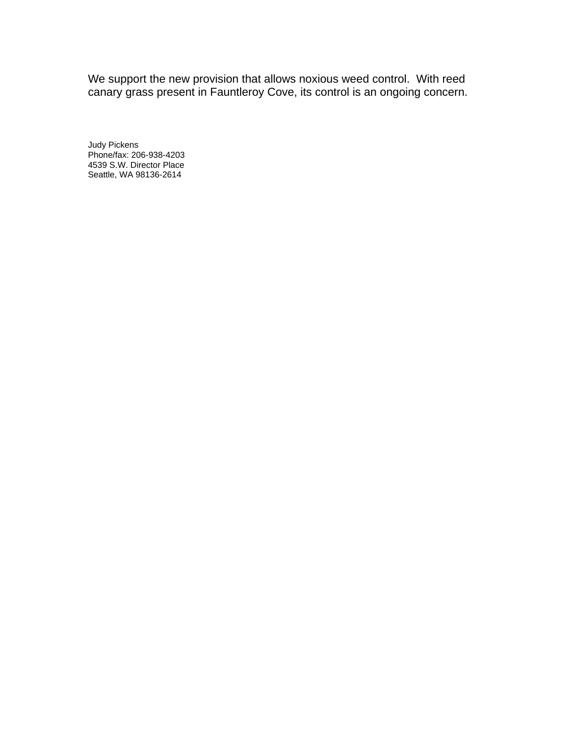We support the new provision that allows noxious weed control. With reed canary grass present in Fauntleroy Cove, its control is an ongoing concern.

Judy Pickens Phone/fax: 206-938-4203 4539 S.W. Director Place Seattle, WA 98136-2614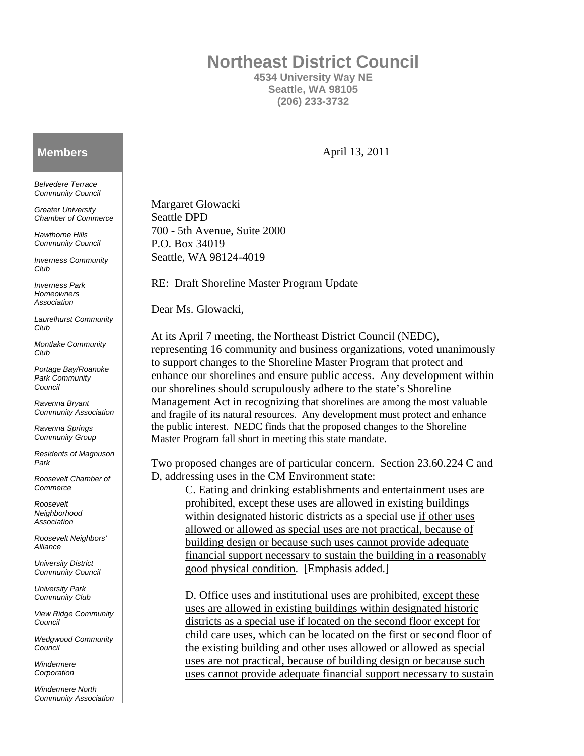# **Northeast District Council**

**4534 University Way NE Seattle, WA 98105 (206) 233-3732** 

#### **Members**

*Belvedere Terrace Community Council* 

*Greater University Chamber of Commerce* 

*Hawthorne Hills Community Council* 

*Inverness Community Club* 

*Inverness Park Homeowners Association* 

*Laurelhurst Community Club* 

*Montlake Community Club* 

*Portage Bay/Roanoke Park Community Council* 

*Ravenna Bryant Community Association* 

*Ravenna Springs Community Group* 

*Residents of Magnuson Park* 

*Roosevelt Chamber of Commerce* 

*Roosevelt Neighborhood Association* 

*Roosevelt Neighbors' Alliance* 

*University District Community Council* 

*University Park Community Club* 

*View Ridge Community Council* 

*Wedgwood Community Council* 

*Windermere Corporation* 

*Windermere North Community Association*  April 13, 2011

Margaret Glowacki Seattle DPD 700 - 5th Avenue, Suite 2000 P.O. Box 34019 Seattle, WA 98124-4019

RE: Draft Shoreline Master Program Update

Dear Ms. Glowacki,

At its April 7 meeting, the Northeast District Council (NEDC), representing 16 community and business organizations, voted unanimously to support changes to the Shoreline Master Program that protect and enhance our shorelines and ensure public access. Any development within our shorelines should scrupulously adhere to the state's Shoreline Management Act in recognizing that shorelines are among the most valuable and fragile of its natural resources. Any development must protect and enhance the public interest. NEDC finds that the proposed changes to the Shoreline Master Program fall short in meeting this state mandate.

Two proposed changes are of particular concern. Section 23.60.224 C and D, addressing uses in the CM Environment state:

C. Eating and drinking establishments and entertainment uses are prohibited, except these uses are allowed in existing buildings within designated historic districts as a special use if other uses allowed or allowed as special uses are not practical, because of building design or because such uses cannot provide adequate financial support necessary to sustain the building in a reasonably good physical condition. [Emphasis added.]

D. Office uses and institutional uses are prohibited, except these uses are allowed in existing buildings within designated historic districts as a special use if located on the second floor except for child care uses, which can be located on the first or second floor of the existing building and other uses allowed or allowed as special uses are not practical, because of building design or because such uses cannot provide adequate financial support necessary to sustain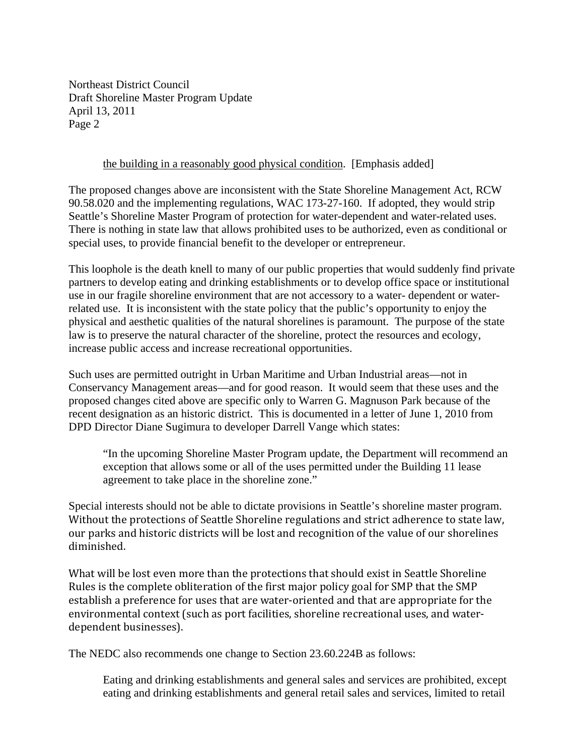Northeast District Council Draft Shoreline Master Program Update April 13, 2011 Page 2

#### the building in a reasonably good physical condition. [Emphasis added]

The proposed changes above are inconsistent with the State Shoreline Management Act, RCW 90.58.020 and the implementing regulations, WAC 173-27-160. If adopted, they would strip Seattle's Shoreline Master Program of protection for water-dependent and water-related uses. There is nothing in state law that allows prohibited uses to be authorized, even as conditional or special uses, to provide financial benefit to the developer or entrepreneur.

This loophole is the death knell to many of our public properties that would suddenly find private partners to develop eating and drinking establishments or to develop office space or institutional use in our fragile shoreline environment that are not accessory to a water- dependent or waterrelated use. It is inconsistent with the state policy that the public's opportunity to enjoy the physical and aesthetic qualities of the natural shorelines is paramount. The purpose of the state law is to preserve the natural character of the shoreline, protect the resources and ecology, increase public access and increase recreational opportunities.

Such uses are permitted outright in Urban Maritime and Urban Industrial areas—not in Conservancy Management areas—and for good reason. It would seem that these uses and the proposed changes cited above are specific only to Warren G. Magnuson Park because of the recent designation as an historic district. This is documented in a letter of June 1, 2010 from DPD Director Diane Sugimura to developer Darrell Vange which states:

"In the upcoming Shoreline Master Program update, the Department will recommend an exception that allows some or all of the uses permitted under the Building 11 lease agreement to take place in the shoreline zone."

Special interests should not be able to dictate provisions in Seattle's shoreline master program. Without the protections of Seattle Shoreline regulations and strict adherence to state law, our parks and historic districts will be lost and recognition of the value of our shorelines diminished.

What will be lost even more than the protections that should exist in Seattle Shoreline Rules is the complete obliteration of the first major policy goal for SMP that the SMP establish a preference for uses that are water‐oriented and that are appropriate for the environmental context (such as port facilities, shoreline recreational uses, and water‐ dependent businesses).

The NEDC also recommends one change to Section 23.60.224B as follows:

Eating and drinking establishments and general sales and services are prohibited, except eating and drinking establishments and general retail sales and services, limited to retail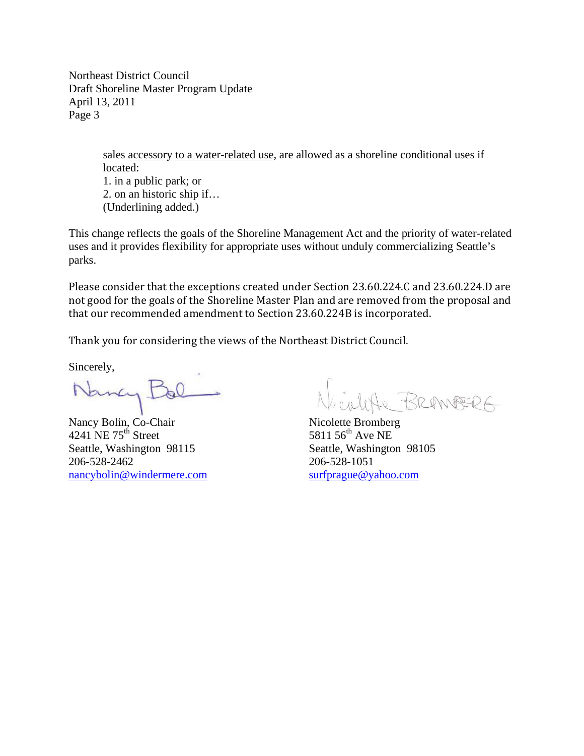Northeast District Council Draft Shoreline Master Program Update April 13, 2011 Page 3

> sales accessory to a water-related use, are allowed as a shoreline conditional uses if located: 1. in a public park; or 2. on an historic ship if… (Underlining added.)

This change reflects the goals of the Shoreline Management Act and the priority of water-related uses and it provides flexibility for appropriate uses without unduly commercializing Seattle's parks.

Please consider that the exceptions created under Section 23.60.224.C and 23.60.224.D are not good for the goals of the Shoreline Master Plan and are removed from the proposal and that our recommended amendment to Section 23.60.224B is incorporated.

Thank you for considering the views of the Northeast District Council.

Sincerely,

4241 NE  $75<sup>th</sup>$  Street Seattle, Washington 98115 Seattle, Washington 98105 206-528-2462 206-528-1051 nancybolin@windermere.com surfprague@yahoo.com

Nancy Bol Nicolette BREANBERG<br>Nancy Bolin, Co-Chair Nicolette Bromberg<br>4241 NE 75<sup>th</sup> Street 5811 56<sup>th</sup> Ave NE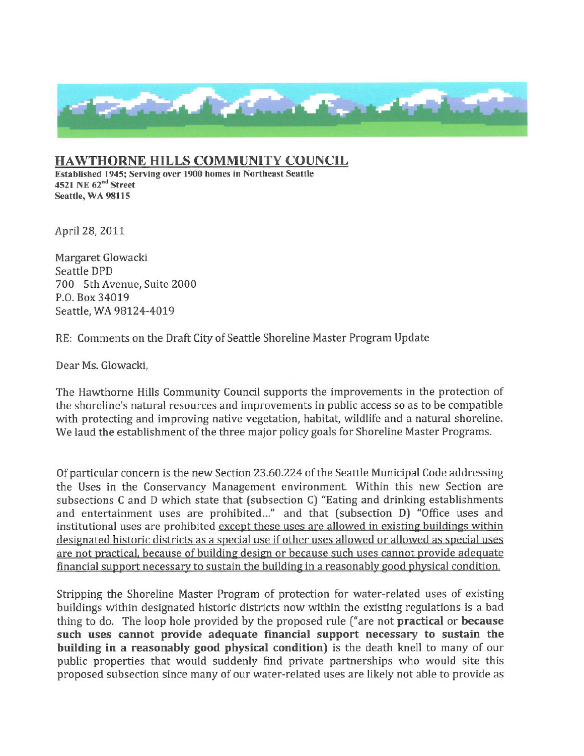

# **HAWTHORNE HILLS COMMUNITY COUNCIL**

Established 1945; Serving over 1900 homes in Northeast Seattle 4521 NE 62<sup>nd</sup> Street Seattle, WA 98115

April 28, 2011

Margaret Glowacki Seattle DPD 700 - 5th Avenue, Suite 2000 P.O. Box 34019 Seattle, WA 98124-4019

RE: Comments on the Draft City of Seattle Shoreline Master Program Update

Dear Ms. Glowacki,

The Hawthorne Hills Community Council supports the improvements in the protection of the shoreline's natural resources and improvements in public access so as to be compatible with protecting and improving native vegetation, habitat, wildlife and a natural shoreline. We laud the establishment of the three major policy goals for Shoreline Master Programs.

Of particular concern is the new Section 23.60.224 of the Seattle Municipal Code addressing the Uses in the Conservancy Management environment. Within this new Section are subsections C and D which state that (subsection C) "Eating and drinking establishments and entertainment uses are prohibited..." and that (subsection D) "Office uses and institutional uses are prohibited except these uses are allowed in existing buildings within designated historic districts as a special use if other uses allowed or allowed as special uses are not practical, because of building design or because such uses cannot provide adequate financial support necessary to sustain the building in a reasonably good physical condition.

Stripping the Shoreline Master Program of protection for water-related uses of existing buildings within designated historic districts now within the existing regulations is a bad thing to do. The loop hole provided by the proposed rule ("are not **practical** or **because** such uses cannot provide adequate financial support necessary to sustain the building in a reasonably good physical condition) is the death knell to many of our public properties that would suddenly find private partnerships who would site this proposed subsection since many of our water-related uses are likely not able to provide as